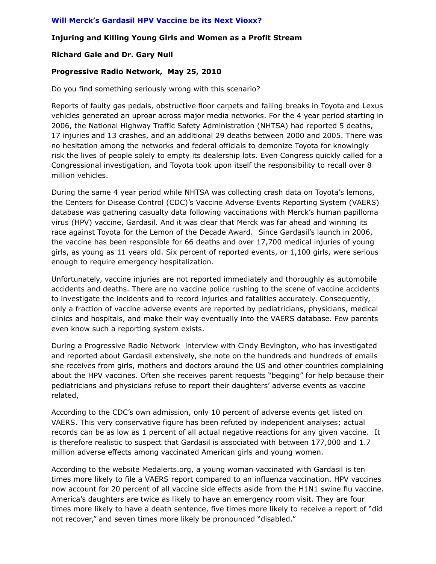# **Injuring and Killing Young Girls and Women as a Profit Stream**

### **Richard Gale and Dr. Gary Null**

### **Progressive Radio Network, May 25, 2010**

Do you find something seriously wrong with this scenario?

Reports of faulty gas pedals, obstructive floor carpets and failing breaks in Toyota and Lexus vehicles generated an uproar across major media networks. For the 4 year period starting in 2006, the National Highway Traffic Safety Administration (NHTSA) had reported 5 deaths, 17 injuries and 13 crashes, and an additional 29 deaths between 2000 and 2005. There was no hesitation among the networks and federal officials to demonize Toyota for knowingly risk the lives of people solely to empty its dealership lots. Even Congress quickly called for a Congressional investigation, and Toyota took upon itself the responsibility to recall over 8 million vehicles.

During the same 4 year period while NHTSA was collecting crash data on Toyota's lemons, the Centers for Disease Control (CDC)'s Vaccine Adverse Events Reporting System (VAERS) database was gathering casualty data following vaccinations with Merck's human papilloma virus (HPV) vaccine, Gardasil. And it was clear that Merck was far ahead and winning its race against Toyota for the Lemon of the Decade Award. Since Gardasil's launch in 2006, the vaccine has been responsible for 66 deaths and over 17,700 medical injuries of young girls, as young as 11 years old. Six percent of reported events, or 1,100 girls, were serious enough to require emergency hospitalization.

Unfortunately, vaccine injuries are not reported immediately and thoroughly as automobile accidents and deaths. There are no vaccine police rushing to the scene of vaccine accidents to investigate the incidents and to record injuries and fatalities accurately. Consequently, only a fraction of vaccine adverse events are reported by pediatricians, physicians, medical clinics and hospitals, and make their way eventually into the VAERS database. Few parents even know such a reporting system exists.

During a Progressive Radio Network interview with Cindy Bevington, who has investigated and reported about Gardasil extensively, she note on the hundreds and hundreds of emails she receives from girls, mothers and doctors around the US and other countries complaining about the HPV vaccines. Often she receives parent requests "begging" for help because their pediatricians and physicians refuse to report their daughters' adverse events as vaccine related,

According to the CDC's own admission, only 10 percent of adverse events get listed on VAERS. This very conservative figure has been refuted by independent analyses; actual records can be as low as 1 percent of all actual negative reactions for any given vaccine. It is therefore realistic to suspect that Gardasil is associated with between 177,000 and 1.7 million adverse effects among vaccinated American girls and young women.

According to the website Medalerts.org, a young woman vaccinated with Gardasil is ten times more likely to file a VAERS report compared to an influenza vaccination. HPV vaccines now account for 20 percent of all vaccine side effects aside from the H1N1 swine flu vaccine. America's daughters are twice as likely to have an emergency room visit. They are four times more likely to have a death sentence, five times more likely to receive a report of "did not recover," and seven times more likely be pronounced "disabled."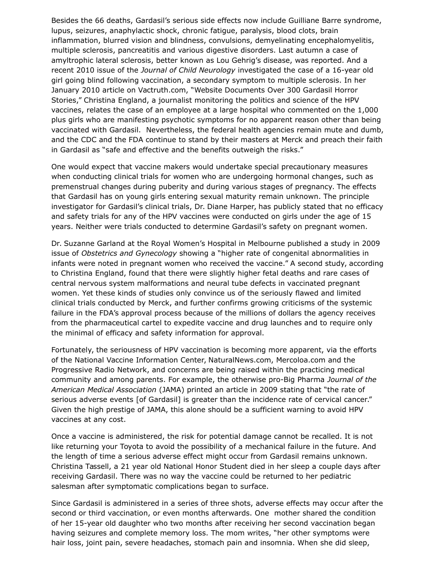Besides the 66 deaths, Gardasil's serious side effects now include Guilliane Barre syndrome, lupus, seizures, anaphylactic shock, chronic fatigue, paralysis, blood clots, brain inflammation, blurred vision and blindness, convulsions, demyelinating encephalomyelitis, multiple sclerosis, pancreatitis and various digestive disorders. Last autumn a case of amyltrophic lateral sclerosis, better known as Lou Gehrig's disease, was reported. And a recent 2010 issue of the *Journal of Child Neurology* investigated the case of a 16-year old girl going blind following vaccination, a secondary symptom to multiple sclerosis. In her January 2010 article on Vactruth.com, "Website Documents Over 300 Gardasil Horror Stories," Christina England, a journalist monitoring the politics and science of the HPV vaccines, relates the case of an employee at a large hospital who commented on the 1,000 plus girls who are manifesting psychotic symptoms for no apparent reason other than being vaccinated with Gardasil. Nevertheless, the federal health agencies remain mute and dumb, and the CDC and the FDA continue to stand by their masters at Merck and preach their faith in Gardasil as "safe and effective and the benefits outweigh the risks."

One would expect that vaccine makers would undertake special precautionary measures when conducting clinical trials for women who are undergoing hormonal changes, such as premenstrual changes during puberity and during various stages of pregnancy. The effects that Gardasil has on young girls entering sexual maturity remain unknown. The principle investigator for Gardasil's clinical trials, Dr. Diane Harper, has publicly stated that no efficacy and safety trials for any of the HPV vaccines were conducted on girls under the age of 15 years. Neither were trials conducted to determine Gardasil's safety on pregnant women.

Dr. Suzanne Garland at the Royal Women's Hospital in Melbourne published a study in 2009 issue of *Obstetrics and Gynecology* showing a "higher rate of congenital abnormalities in infants were noted in pregnant women who received the vaccine." A second study, according to Christina England, found that there were slightly higher fetal deaths and rare cases of central nervous system malformations and neural tube defects in vaccinated pregnant women. Yet these kinds of studies only convince us of the seriously flawed and limited clinical trials conducted by Merck, and further confirms growing criticisms of the systemic failure in the FDA's approval process because of the millions of dollars the agency receives from the pharmaceutical cartel to expedite vaccine and drug launches and to require only the minimal of efficacy and safety information for approval.

Fortunately, the seriousness of HPV vaccination is becoming more apparent, via the efforts of the National Vaccine Information Center, NaturalNews.com, Mercoloa.com and the Progressive Radio Network, and concerns are being raised within the practicing medical community and among parents. For example, the otherwise pro-Big Pharma *Journal of the American Medical Association* (JAMA) printed an article in 2009 stating that "the rate of serious adverse events [of Gardasil] is greater than the incidence rate of cervical cancer." Given the high prestige of JAMA, this alone should be a sufficient warning to avoid HPV vaccines at any cost.

Once a vaccine is administered, the risk for potential damage cannot be recalled. It is not like returning your Toyota to avoid the possibility of a mechanical failure in the future. And the length of time a serious adverse effect might occur from Gardasil remains unknown. Christina Tassell, a 21 year old National Honor Student died in her sleep a couple days after receiving Gardasil. There was no way the vaccine could be returned to her pediatric salesman after symptomatic complications began to surface.

Since Gardasil is administered in a series of three shots, adverse effects may occur after the second or third vaccination, or even months afterwards. One mother shared the condition of her 15-year old daughter who two months after receiving her second vaccination began having seizures and complete memory loss. The mom writes, "her other symptoms were hair loss, joint pain, severe headaches, stomach pain and insomnia. When she did sleep,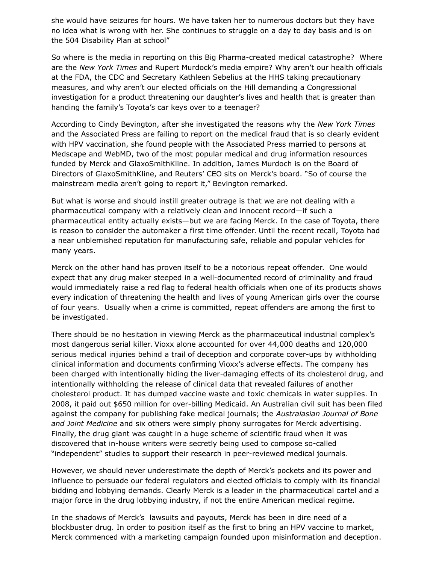she would have seizures for hours. We have taken her to numerous doctors but they have no idea what is wrong with her. She continues to struggle on a day to day basis and is on the 504 Disability Plan at school"

So where is the media in reporting on this Big Pharma-created medical catastrophe? Where are the *New York Times* and Rupert Murdock's media empire? Why aren't our health officials at the FDA, the CDC and Secretary Kathleen Sebelius at the HHS taking precautionary measures, and why aren't our elected officials on the Hill demanding a Congressional investigation for a product threatening our daughter's lives and health that is greater than handing the family's Toyota's car keys over to a teenager?

According to Cindy Bevington, after she investigated the reasons why the *New York Times* and the Associated Press are failing to report on the medical fraud that is so clearly evident with HPV vaccination, she found people with the Associated Press married to persons at Medscape and WebMD, two of the most popular medical and drug information resources funded by Merck and GlaxoSmithKline. In addition, James Murdoch is on the Board of Directors of GlaxoSmithKline, and Reuters' CEO sits on Merck's board. "So of course the mainstream media aren't going to report it," Bevington remarked.

But what is worse and should instill greater outrage is that we are not dealing with a pharmaceutical company with a relatively clean and innocent record—if such a pharmaceutical entity actually exists—but we are facing Merck. In the case of Toyota, there is reason to consider the automaker a first time offender. Until the recent recall, Toyota had a near unblemished reputation for manufacturing safe, reliable and popular vehicles for many years.

Merck on the other hand has proven itself to be a notorious repeat offender. One would expect that any drug maker steeped in a well-documented record of criminality and fraud would immediately raise a red flag to federal health officials when one of its products shows every indication of threatening the health and lives of young American girls over the course of four years. Usually when a crime is committed, repeat offenders are among the first to be investigated.

There should be no hesitation in viewing Merck as the pharmaceutical industrial complex's most dangerous serial killer. Vioxx alone accounted for over 44,000 deaths and 120,000 serious medical injuries behind a trail of deception and corporate cover-ups by withholding clinical information and documents confirming Vioxx's adverse effects. The company has been charged with intentionally hiding the liver-damaging effects of its cholesterol drug, and intentionally withholding the release of clinical data that revealed failures of another cholesterol product. It has dumped vaccine waste and toxic chemicals in water supplies. In 2008, it paid out \$650 million for over-billing Medicaid. An Australian civil suit has been filed against the company for publishing fake medical journals; the *Australasian Journal of Bone and Joint Medicine* and six others were simply phony surrogates for Merck advertising. Finally, the drug giant was caught in a huge scheme of scientific fraud when it was discovered that in-house writers were secretly being used to compose so-called "independent" studies to support their research in peer-reviewed medical journals.

However, we should never underestimate the depth of Merck's pockets and its power and influence to persuade our federal regulators and elected officials to comply with its financial bidding and lobbying demands. Clearly Merck is a leader in the pharmaceutical cartel and a major force in the drug lobbying industry, if not the entire American medical regime.

In the shadows of Merck's lawsuits and payouts, Merck has been in dire need of a blockbuster drug. In order to position itself as the first to bring an HPV vaccine to market, Merck commenced with a marketing campaign founded upon misinformation and deception.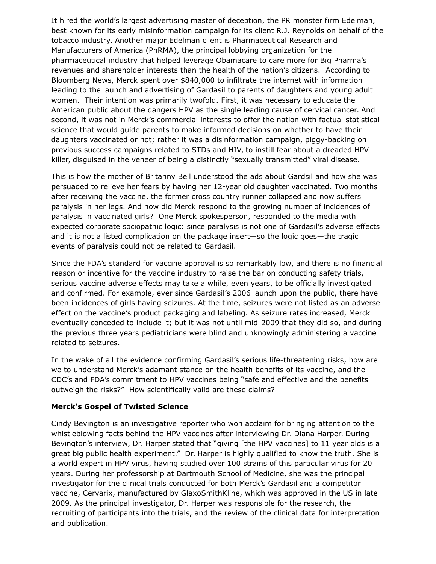It hired the world's largest advertising master of deception, the PR monster firm Edelman, best known for its early misinformation campaign for its client R.J. Reynolds on behalf of the tobacco industry. Another major Edelman client is Pharmaceutical Research and Manufacturers of America (PhRMA), the principal lobbying organization for the pharmaceutical industry that helped leverage Obamacare to care more for Big Pharma's revenues and shareholder interests than the health of the nation's citizens. According to Bloomberg News, Merck spent over \$840,000 to infiltrate the internet with information leading to the launch and advertising of Gardasil to parents of daughters and young adult women. Their intention was primarily twofold. First, it was necessary to educate the American public about the dangers HPV as the single leading cause of cervical cancer. And second, it was not in Merck's commercial interests to offer the nation with factual statistical science that would guide parents to make informed decisions on whether to have their daughters vaccinated or not; rather it was a disinformation campaign, piggy-backing on previous success campaigns related to STDs and HIV, to instill fear about a dreaded HPV killer, disguised in the veneer of being a distinctly "sexually transmitted" viral disease.

This is how the mother of Britanny Bell understood the ads about Gardsil and how she was persuaded to relieve her fears by having her 12-year old daughter vaccinated. Two months after receiving the vaccine, the former cross country runner collapsed and now suffers paralysis in her legs. And how did Merck respond to the growing number of incidences of paralysis in vaccinated girls? One Merck spokesperson, responded to the media with expected corporate sociopathic logic: since paralysis is not one of Gardasil's adverse effects and it is not a listed complication on the package insert—so the logic goes—the tragic events of paralysis could not be related to Gardasil.

Since the FDA's standard for vaccine approval is so remarkably low, and there is no financial reason or incentive for the vaccine industry to raise the bar on conducting safety trials, serious vaccine adverse effects may take a while, even years, to be officially investigated and confirmed. For example, ever since Gardasil's 2006 launch upon the public, there have been incidences of girls having seizures. At the time, seizures were not listed as an adverse effect on the vaccine's product packaging and labeling. As seizure rates increased, Merck eventually conceded to include it; but it was not until mid-2009 that they did so, and during the previous three years pediatricians were blind and unknowingly administering a vaccine related to seizures.

In the wake of all the evidence confirming Gardasil's serious life-threatening risks, how are we to understand Merck's adamant stance on the health benefits of its vaccine, and the CDC's and FDA's commitment to HPV vaccines being "safe and effective and the benefits outweigh the risks?" How scientifically valid are these claims?

#### **Merck's Gospel of Twisted Science**

Cindy Bevington is an investigative reporter who won acclaim for bringing attention to the whistleblowing facts behind the HPV vaccines after interviewing Dr. Diana Harper. During Bevington's interview, Dr. Harper stated that "giving [the HPV vaccines] to 11 year olds is a great big public health experiment." Dr. Harper is highly qualified to know the truth. She is a world expert in HPV virus, having studied over 100 strains of this particular virus for 20 years. During her professorship at Dartmouth School of Medicine, she was the principal investigator for the clinical trials conducted for both Merck's Gardasil and a competitor vaccine, Cervarix, manufactured by GlaxoSmithKline, which was approved in the US in late 2009. As the principal investigator, Dr. Harper was responsible for the research, the recruiting of participants into the trials, and the review of the clinical data for interpretation and publication.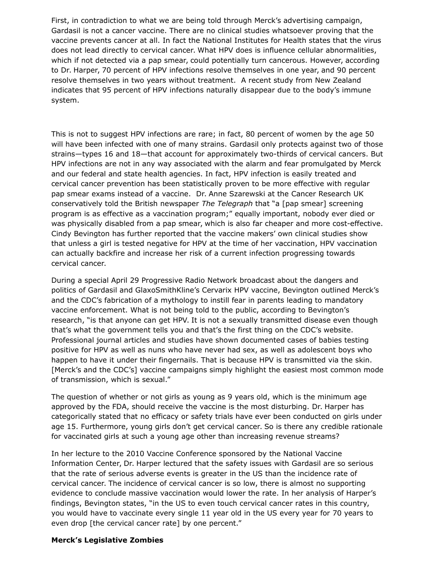First, in contradiction to what we are being told through Merck's advertising campaign, Gardasil is not a cancer vaccine. There are no clinical studies whatsoever proving that the vaccine prevents cancer at all. In fact the National Institutes for Health states that the virus does not lead directly to cervical cancer. What HPV does is influence cellular abnormalities, which if not detected via a pap smear, could potentially turn cancerous. However, according to Dr. Harper, 70 percent of HPV infections resolve themselves in one year, and 90 percent resolve themselves in two years without treatment. A recent study from New Zealand indicates that 95 percent of HPV infections naturally disappear due to the body's immune system.

This is not to suggest HPV infections are rare; in fact, 80 percent of women by the age 50 will have been infected with one of many strains. Gardasil only protects against two of those strains—types 16 and 18—that account for approximately two-thirds of cervical cancers. But HPV infections are not in any way associated with the alarm and fear promulgated by Merck and our federal and state health agencies. In fact, HPV infection is easily treated and cervical cancer prevention has been statistically proven to be more effective with regular pap smear exams instead of a vaccine. Dr. Anne Szarewski at the Cancer Research UK conservatively told the British newspaper *The Telegraph* that "a [pap smear] screening program is as effective as a vaccination program;" equally important, nobody ever died or was physically disabled from a pap smear, which is also far cheaper and more cost-effective. Cindy Bevington has further reported that the vaccine makers' own clinical studies show that unless a girl is tested negative for HPV at the time of her vaccination, HPV vaccination can actually backfire and increase her risk of a current infection progressing towards cervical cancer.

During a special April 29 Progressive Radio Network broadcast about the dangers and politics of Gardasil and GlaxoSmithKline's Cervarix HPV vaccine, Bevington outlined Merck's and the CDC's fabrication of a mythology to instill fear in parents leading to mandatory vaccine enforcement. What is not being told to the public, according to Bevington's research, "is that anyone can get HPV. It is not a sexually transmitted disease even though that's what the government tells you and that's the first thing on the CDC's website. Professional journal articles and studies have shown documented cases of babies testing positive for HPV as well as nuns who have never had sex, as well as adolescent boys who happen to have it under their fingernails. That is because HPV is transmitted via the skin. [Merck's and the CDC's] vaccine campaigns simply highlight the easiest most common mode of transmission, which is sexual."

The question of whether or not girls as young as 9 years old, which is the minimum age approved by the FDA, should receive the vaccine is the most disturbing. Dr. Harper has categorically stated that no efficacy or safety trials have ever been conducted on girls under age 15. Furthermore, young girls don't get cervical cancer. So is there any credible rationale for vaccinated girls at such a young age other than increasing revenue streams?

In her lecture to the 2010 Vaccine Conference sponsored by the National Vaccine Information Center, Dr. Harper lectured that the safety issues with Gardasil are so serious that the rate of serious adverse events is greater in the US than the incidence rate of cervical cancer. The incidence of cervical cancer is so low, there is almost no supporting evidence to conclude massive vaccination would lower the rate. In her analysis of Harper's findings, Bevington states, "in the US to even touch cervical cancer rates in this country, you would have to vaccinate every single 11 year old in the US every year for 70 years to even drop [the cervical cancer rate] by one percent."

#### **Merck's Legislative Zombies**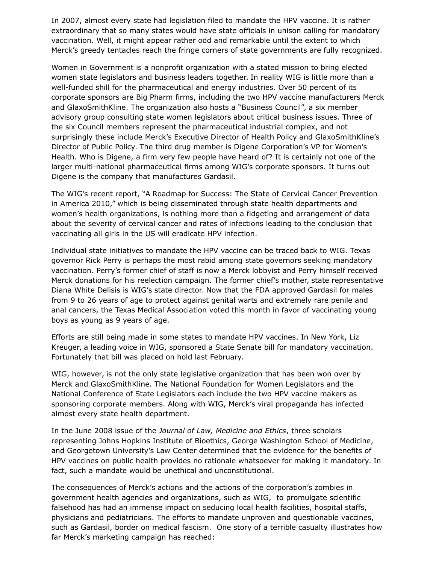In 2007, almost every state had legislation filed to mandate the HPV vaccine. It is rather extraordinary that so many states would have state officials in unison calling for mandatory vaccination. Well, it might appear rather odd and remarkable until the extent to which Merck's greedy tentacles reach the fringe corners of state governments are fully recognized.

Women in Government is a nonprofit organization with a stated mission to bring elected women state legislators and business leaders together. In reality WIG is little more than a well-funded shill for the pharmaceutical and energy industries. Over 50 percent of its corporate sponsors are Big Pharm firms, including the two HPV vaccine manufacturers Merck and GlaxoSmithKline. The organization also hosts a "Business Council", a six member advisory group consulting state women legislators about critical business issues. Three of the six Council members represent the pharmaceutical industrial complex, and not surprisingly these include Merck's Executive Director of Health Policy and GlaxoSmithKline's Director of Public Policy. The third drug member is Digene Corporation's VP for Women's Health. Who is Digene, a firm very few people have heard of? It is certainly not one of the larger multi-national pharmaceutical firms among WIG's corporate sponsors. It turns out Digene is the company that manufactures Gardasil.

The WIG's recent report, "A Roadmap for Success: The State of Cervical Cancer Prevention in America 2010," which is being disseminated through state health departments and women's health organizations, is nothing more than a fidgeting and arrangement of data about the severity of cervical cancer and rates of infections leading to the conclusion that vaccinating all girls in the US will eradicate HPV infection.

Individual state initiatives to mandate the HPV vaccine can be traced back to WIG. Texas governor Rick Perry is perhaps the most rabid among state governors seeking mandatory vaccination. Perry's former chief of staff is now a Merck lobbyist and Perry himself received Merck donations for his reelection campaign. The former chief's mother, state representative Diana White Delisis is WIG's state director. Now that the FDA approved Gardasil for males from 9 to 26 years of age to protect against genital warts and extremely rare penile and anal cancers, the Texas Medical Association voted this month in favor of vaccinating young boys as young as 9 years of age.

Efforts are still being made in some states to mandate HPV vaccines. In New York, Liz Kreuger, a leading voice in WIG, sponsored a State Senate bill for mandatory vaccination. Fortunately that bill was placed on hold last February.

WIG, however, is not the only state legislative organization that has been won over by Merck and GlaxoSmithKline. The National Foundation for Women Legislators and the National Conference of State Legislators each include the two HPV vaccine makers as sponsoring corporate members. Along with WIG, Merck's viral propaganda has infected almost every state health department.

In the June 2008 issue of the *Journal of Law, Medicine and Ethics*, three scholars representing Johns Hopkins Institute of Bioethics, George Washington School of Medicine, and Georgetown University's Law Center determined that the evidence for the benefits of HPV vaccines on public health provides no rationale whatsoever for making it mandatory. In fact, such a mandate would be unethical and unconstitutional.

The consequences of Merck's actions and the actions of the corporation's zombies in government health agencies and organizations, such as WIG, to promulgate scientific falsehood has had an immense impact on seducing local health facilities, hospital staffs, physicians and pediatricians. The efforts to mandate unproven and questionable vaccines, such as Gardasil, border on medical fascism. One story of a terrible casualty illustrates how far Merck's marketing campaign has reached: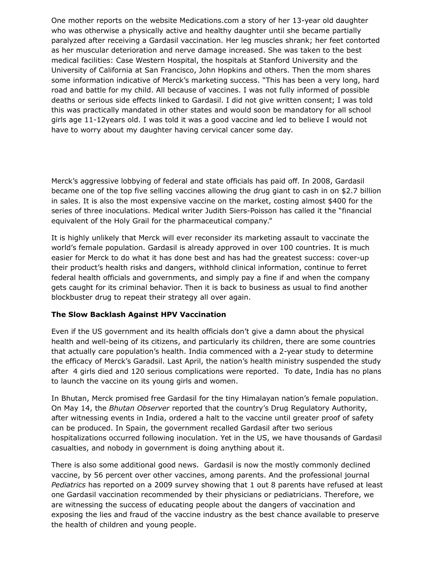One mother reports on the website Medications.com a story of her 13-year old daughter who was otherwise a physically active and healthy daughter until she became partially paralyzed after receiving a Gardasil vaccination. Her leg muscles shrank; her feet contorted as her muscular deterioration and nerve damage increased. She was taken to the best medical facilities: Case Western Hospital, the hospitals at Stanford University and the University of California at San Francisco, John Hopkins and others. Then the mom shares some information indicative of Merck's marketing success. "This has been a very long, hard road and battle for my child. All because of vaccines. I was not fully informed of possible deaths or serious side effects linked to Gardasil. I did not give written consent; I was told this was practically mandated in other states and would soon be mandatory for all school girls age 11-12years old. I was told it was a good vaccine and led to believe I would not have to worry about my daughter having cervical cancer some day.

Merck's aggressive lobbying of federal and state officials has paid off. In 2008, Gardasil became one of the top five selling vaccines allowing the drug giant to cash in on \$2.7 billion in sales. It is also the most expensive vaccine on the market, costing almost \$400 for the series of three inoculations. Medical writer Judith Siers-Poisson has called it the "financial equivalent of the Holy Grail for the pharmaceutical company."

It is highly unlikely that Merck will ever reconsider its marketing assault to vaccinate the world's female population. Gardasil is already approved in over 100 countries. It is much easier for Merck to do what it has done best and has had the greatest success: cover-up their product's health risks and dangers, withhold clinical information, continue to ferret federal health officials and governments, and simply pay a fine if and when the company gets caught for its criminal behavior. Then it is back to business as usual to find another blockbuster drug to repeat their strategy all over again.

# **The Slow Backlash Against HPV Vaccination**

Even if the US government and its health officials don't give a damn about the physical health and well-being of its citizens, and particularly its children, there are some countries that actually care population's health. India commenced with a 2-year study to determine the efficacy of Merck's Garadsil. Last April, the nation's health ministry suspended the study after 4 girls died and 120 serious complications were reported. To date, India has no plans to launch the vaccine on its young girls and women.

In Bhutan, Merck promised free Gardasil for the tiny Himalayan nation's female population. On May 14, the *Bhutan Observer* reported that the country's Drug Regulatory Authority, after witnessing events in India, ordered a halt to the vaccine until greater proof of safety can be produced. In Spain, the government recalled Gardasil after two serious hospitalizations occurred following inoculation. Yet in the US, we have thousands of Gardasil casualties, and nobody in government is doing anything about it.

There is also some additional good news. Gardasil is now the mostly commonly declined vaccine, by 56 percent over other vaccines, among parents. And the professional journal *Pediatrics* has reported on a 2009 survey showing that 1 out 8 parents have refused at least one Gardasil vaccination recommended by their physicians or pediatricians. Therefore, we are witnessing the success of educating people about the dangers of vaccination and exposing the lies and fraud of the vaccine industry as the best chance available to preserve the health of children and young people.